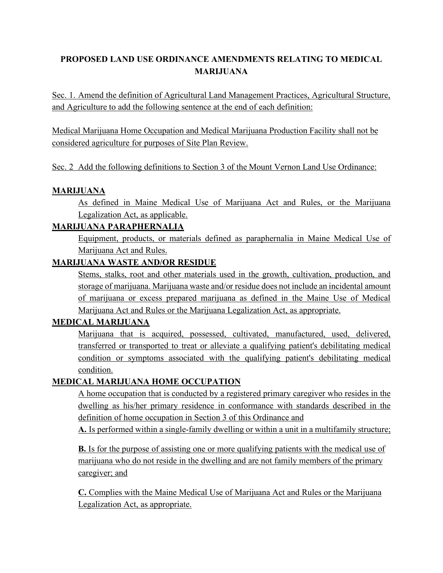# **PROPOSED LAND USE ORDINANCE AMENDMENTS RELATING TO MEDICAL MARIJUANA**

Sec. 1. Amend the definition of Agricultural Land Management Practices, Agricultural Structure, and Agriculture to add the following sentence at the end of each definition:

Medical Marijuana Home Occupation and Medical Marijuana Production Facility shall not be considered agriculture for purposes of Site Plan Review.

# Sec. 2 Add the following definitions to Section 3 of the Mount Vernon Land Use Ordinance:

## **MARIJUANA**

As defined in Maine Medical Use of Marijuana Act and Rules, or the Marijuana Legalization Act, as applicable.

# **MARIJUANA PARAPHERNALIA**

Equipment, products, or materials defined as paraphernalia in Maine Medical Use of Marijuana Act and Rules.

# **MARIJUANA WASTE AND/OR RESIDUE**

Stems, stalks, root and other materials used in the growth, cultivation, production, and storage of marijuana. Marijuana waste and/or residue does not include an incidental amount of marijuana or excess prepared marijuana as defined in the Maine Use of Medical Marijuana Act and Rules or the Marijuana Legalization Act, as appropriate.

## **MEDICAL MARIJUANA**

Marijuana that is acquired, possessed, cultivated, manufactured, used, delivered, transferred or transported to treat or alleviate a qualifying patient's debilitating medical condition or symptoms associated with the qualifying patient's debilitating medical condition.

# **MEDICAL MARIJUANA HOME OCCUPATION**

A home occupation that is conducted by a registered primary caregiver who resides in the dwelling as his/her primary residence in conformance with standards described in the definition of home occupation in Section 3 of this Ordinance and

**A.** Is performed within a single-family dwelling or within a unit in a multifamily structure;

**B.** Is for the purpose of assisting one or more qualifying patients with the medical use of marijuana who do not reside in the dwelling and are not family members of the primary caregiver; and

**C.** Complies with the Maine Medical Use of Marijuana Act and Rules or the Marijuana Legalization Act, as appropriate.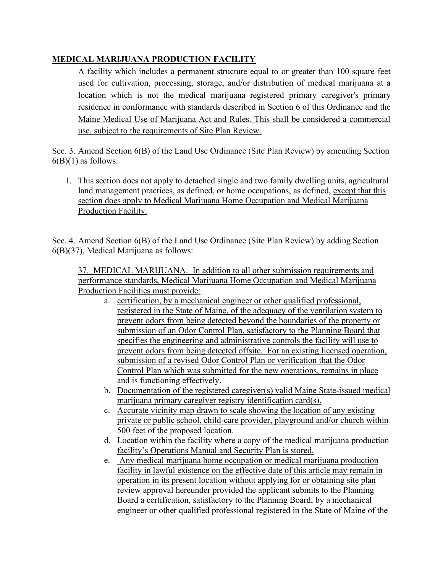# **MEDICAL MARIJUANA PRODUCTION FACILITY**

A facility which includes a permanent structure equal to or greater than 100 square feet used for cultivation, processing, storage, and/or distribution of medical marijuana at a location which is not the medical marijuana registered primary caregiver's primary residence in conformance with standards described in Section 6 of this Ordinance and the Maine Medical Use of Marijuana Act and Rules. This shall be considered a commercial use, subject to the requirements of Site Plan Review.

Sec. 3. Amend Section 6(B) of the Land Use Ordinance (Site Plan Review) by amending Section  $6(B)(1)$  as follows:

1. This section does not apply to detached single and two family dwelling units, agricultural land management practices, as defined, or home occupations, as defined, except that this section does apply to Medical Marijuana Home Occupation and Medical Marijuana Production Facility.

Sec. 4. Amend Section 6(B) of the Land Use Ordinance (Site Plan Review) by adding Section 6(B)(37), Medical Marijuana as follows:

37. MEDICAL MARIJUANA. In addition to all other submission requirements and performance standards, Medical Marijuana Home Occupation and Medical Marijuana Production Facilities must provide:

- a. certification, by a mechanical engineer or other qualified professional, registered in the State of Maine, of the adequacy of the ventilation system to prevent odors from being detected beyond the boundaries of the property or submission of an Odor Control Plan, satisfactory to the Planning Board that specifies the engineering and administrative controls the facility will use to prevent odors from being detected offsite. For an existing licensed operation, submission of a revised Odor Control Plan or verification that the Odor Control Plan which was submitted for the new operations, remains in place and is functioning effectively.
- b. Documentation of the registered caregiver(s) valid Maine State-issued medical marijuana primary caregiver registry identification card(s).
- c. Accurate vicinity map drawn to scale showing the location of any existing private or public school, child-care provider, playground and/or church within 500 feet of the proposed location.
- d. Location within the facility where a copy of the medical marijuana production facility's Operations Manual and Security Plan is stored.
- e. Any medical marijuana home occupation or medical marijuana production facility in lawful existence on the effective date of this article may remain in operation in its present location without applying for or obtaining site plan review approval hereunder provided the applicant submits to the Planning Board a certification, satisfactory to the Planning Board, by a mechanical engineer or other qualified professional registered in the State of Maine of the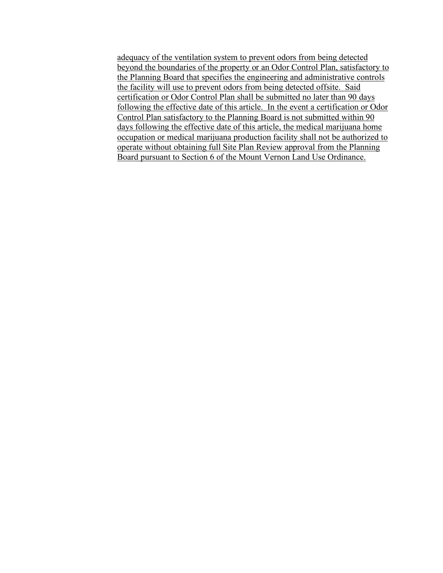adequacy of the ventilation system to prevent odors from being detected beyond the boundaries of the property or an Odor Control Plan, satisfactory to the Planning Board that specifies the engineering and administrative controls the facility will use to prevent odors from being detected offsite. Said certification or Odor Control Plan shall be submitted no later than 90 days following the effective date of this article. In the event a certification or Odor Control Plan satisfactory to the Planning Board is not submitted within 90 days following the effective date of this article, the medical marijuana home occupation or medical marijuana production facility shall not be authorized to operate without obtaining full Site Plan Review approval from the Planning Board pursuant to Section 6 of the Mount Vernon Land Use Ordinance.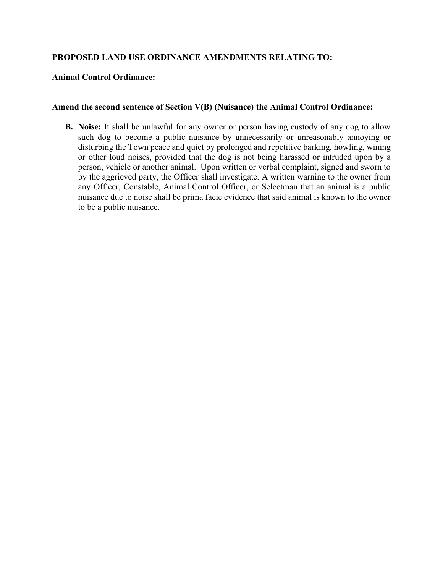## **PROPOSED LAND USE ORDINANCE AMENDMENTS RELATING TO:**

#### **Animal Control Ordinance:**

#### **Amend the second sentence of Section V(B) (Nuisance) the Animal Control Ordinance:**

**B. Noise:** It shall be unlawful for any owner or person having custody of any dog to allow such dog to become a public nuisance by unnecessarily or unreasonably annoying or disturbing the Town peace and quiet by prolonged and repetitive barking, howling, wining or other loud noises, provided that the dog is not being harassed or intruded upon by a person, vehicle or another animal. Upon written or verbal complaint, signed and sworn to by the aggrieved party, the Officer shall investigate. A written warning to the owner from any Officer, Constable, Animal Control Officer, or Selectman that an animal is a public nuisance due to noise shall be prima facie evidence that said animal is known to the owner to be a public nuisance.